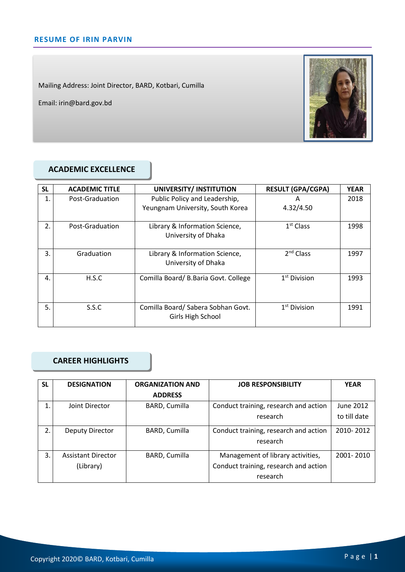Mailing Address: Joint Director, BARD, Kotbari, Cumilla

Email: irin@bard.gov.bd



### **ACADEMIC EXCELLENCE**

| <b>SL</b> | <b>ACADEMIC TITLE</b> | UNIVERSITY/ INSTITUTION                                           | <b>RESULT (GPA/CGPA)</b> | <b>YEAR</b> |
|-----------|-----------------------|-------------------------------------------------------------------|--------------------------|-------------|
| 1.        | Post-Graduation       | Public Policy and Leadership,<br>Yeungnam University, South Korea | Α<br>4.32/4.50           | 2018        |
| 2.        | Post-Graduation       | Library & Information Science,<br>University of Dhaka             | $1st$ Class              | 1998        |
| 3.        | Graduation            | Library & Information Science,<br>University of Dhaka             | 2 <sup>nd</sup> Class    | 1997        |
| 4.        | H.S.C                 | Comilla Board/ B.Baria Govt. College                              | $1st$ Division           | 1993        |
| 5.        | S.S.C                 | Comilla Board/ Sabera Sobhan Govt.<br>Girls High School           | $1st$ Division           | 1991        |

### **CAREER HIGHLIGHTS**

| <b>SL</b> | <b>DESIGNATION</b>        | <b>ORGANIZATION AND</b> | <b>JOB RESPONSIBILITY</b>             | <b>YEAR</b>  |
|-----------|---------------------------|-------------------------|---------------------------------------|--------------|
|           |                           | <b>ADDRESS</b>          |                                       |              |
| 1.        | Joint Director            | BARD, Cumilla           | Conduct training, research and action | June 2012    |
|           |                           |                         | research                              | to till date |
| 2.        | Deputy Director           | BARD, Cumilla           | Conduct training, research and action | 2010-2012    |
|           |                           |                         | research                              |              |
| 3.        | <b>Assistant Director</b> | BARD, Cumilla           | Management of library activities,     | 2001-2010    |
|           | (Library)                 |                         | Conduct training, research and action |              |
|           |                           |                         | research                              |              |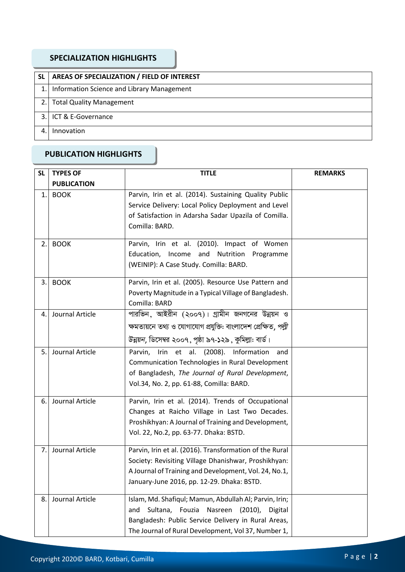### **SPECIALIZATION HIGHLIGHTS**

| <b>SL</b> | AREAS OF SPECIALIZATION / FIELD OF INTEREST   |
|-----------|-----------------------------------------------|
|           | 1. Information Science and Library Management |
| 2.1       | <b>Total Quality Management</b>               |
| २ ।       | l ICT & E-Governance                          |
|           | Innovation                                    |

## **PUBLICATION HIGHLIGHTS**

| <b>SL</b> | <b>TYPES OF</b>    | <b>TITLE</b>                                                                                                 | <b>REMARKS</b> |
|-----------|--------------------|--------------------------------------------------------------------------------------------------------------|----------------|
|           | <b>PUBLICATION</b> |                                                                                                              |                |
| 1.        | <b>BOOK</b>        | Parvin, Irin et al. (2014). Sustaining Quality Public<br>Service Delivery: Local Policy Deployment and Level |                |
|           |                    | of Satisfaction in Adarsha Sadar Upazila of Comilla.                                                         |                |
|           |                    | Comilla: BARD.                                                                                               |                |
|           |                    |                                                                                                              |                |
| 2.        | <b>BOOK</b>        | Parvin, Irin et al. (2010). Impact of Women                                                                  |                |
|           |                    | Education, Income and Nutrition<br>Programme                                                                 |                |
|           |                    | (WEINIP): A Case Study. Comilla: BARD.                                                                       |                |
| 3.        | <b>BOOK</b>        | Parvin, Irin et al. (2005). Resource Use Pattern and                                                         |                |
|           |                    | Poverty Magnitude in a Typical Village of Bangladesh.                                                        |                |
|           |                    | Comilla: BARD                                                                                                |                |
| 4.        | Journal Article    | পারভিন, আইরীন (২০০৭)। গ্রামীন জনগনের উন্নয়ন ও                                                               |                |
|           |                    | ক্ষমতায়নে তথ্য ও যোগাযোগ প্রযুক্তি: বাংলাদেশ প্রেক্ষিত, <i>পল্লী</i>                                        |                |
|           |                    | উন্নয়ন, ডিসেম্বর ২০০৭, পৃষ্ঠা ৯৭-১২৯, কুমিল্লা: বার্ড।                                                      |                |
| 5.        | Journal Article    | Parvin,<br>Irin et al. (2008). Information<br>and                                                            |                |
|           |                    | Communication Technologies in Rural Development                                                              |                |
|           |                    | of Bangladesh, The Journal of Rural Development,                                                             |                |
|           |                    | Vol.34, No. 2, pp. 61-88, Comilla: BARD.                                                                     |                |
| 6.        | Journal Article    | Parvin, Irin et al. (2014). Trends of Occupational                                                           |                |
|           |                    | Changes at Raicho Village in Last Two Decades.                                                               |                |
|           |                    | Proshikhyan: A Journal of Training and Development,                                                          |                |
|           |                    | Vol. 22, No.2, pp. 63-77. Dhaka: BSTD.                                                                       |                |
| 7.        | Journal Article    | Parvin, Irin et al. (2016). Transformation of the Rural                                                      |                |
|           |                    | Society: Revisiting Village Dhanishwar, Proshikhyan:                                                         |                |
|           |                    | A Journal of Training and Development, Vol. 24, No.1,                                                        |                |
|           |                    | January-June 2016, pp. 12-29. Dhaka: BSTD.                                                                   |                |
| 8.        | Journal Article    | Islam, Md. Shafiqul; Mamun, Abdullah Al; Parvin, Irin;                                                       |                |
|           |                    | Sultana, Fouzia<br>Nasreen (2010),<br>Digital<br>and                                                         |                |
|           |                    | Bangladesh: Public Service Delivery in Rural Areas,                                                          |                |
|           |                    | The Journal of Rural Development, Vol 37, Number 1,                                                          |                |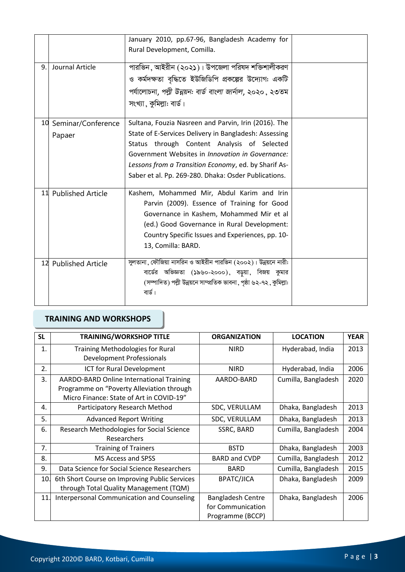|    |                      | January 2010, pp.67-96, Bangladesh Academy for                      |  |
|----|----------------------|---------------------------------------------------------------------|--|
|    |                      | Rural Development, Comilla.                                         |  |
|    |                      |                                                                     |  |
| 9. | Journal Article      | পারভিন, আইরীন (২০২১)। উপজেলা পরিষদ শক্তিশালীকরণ                     |  |
|    |                      | ও কর্মদক্ষতা বৃদ্ধিতে ইউজিডিপি প্রকল্পের উদ্যোগ: একটি               |  |
|    |                      | পর্যালোচনা, পল্লী উন্নয়ন: বার্ড বাংলা জার্নাল, ২০২০, ২৩তম          |  |
|    |                      | সংখ্যা, কুমিল্লা: বার্ড।                                            |  |
| 10 | Seminar/Conference   | Sultana, Fouzia Nasreen and Parvin, Irin (2016). The                |  |
|    | Papaer               | State of E-Services Delivery in Bangladesh: Assessing               |  |
|    |                      | Status through Content Analysis of Selected                         |  |
|    |                      | Government Websites in Innovation in Governance:                    |  |
|    |                      | Lessons from a Transition Economy, ed. by Sharif As-                |  |
|    |                      | Saber et al. Pp. 269-280. Dhaka: Osder Publications.                |  |
|    | 11 Published Article | Kashem, Mohammed Mir, Abdul Karim and Irin                          |  |
|    |                      | Parvin (2009). Essence of Training for Good                         |  |
|    |                      | Governance in Kashem, Mohammed Mir et al                            |  |
|    |                      | (ed.) Good Governance in Rural Development:                         |  |
|    |                      | Country Specific Issues and Experiences, pp. 10-                    |  |
|    |                      | 13, Comilla: BARD.                                                  |  |
|    | 12 Published Article | সুলতানা , ফৌজিয়া নাসরিন ও আইরীন পারভিন (২০০২)। উন্নয়নে নারী:      |  |
|    |                      | বার্ডের অভিজ্ঞতা (১৯৬০-২০০০), বড়ুয়া, বিজয় কুমার                  |  |
|    |                      | (সম্পাদিত) পল্লী উন্নয়নে সাম্প্রতিক ভাবনা, পৃষ্ঠা ৬২-৭২, কুমিল্লা: |  |
|    |                      | বার্ড।                                                              |  |
|    |                      |                                                                     |  |

# **TRAINING AND WORKSHOPS**

| <b>SL</b> | <b>TRAINING/WORKSHOP TITLE</b>                | <b>ORGANIZATION</b>      | <b>LOCATION</b>     | <b>YEAR</b> |
|-----------|-----------------------------------------------|--------------------------|---------------------|-------------|
| 1.        | <b>Training Methodologies for Rural</b>       | <b>NIRD</b>              | Hyderabad, India    | 2013        |
|           | <b>Development Professionals</b>              |                          |                     |             |
| 2.        | ICT for Rural Development                     | <b>NIRD</b>              | Hyderabad, India    | 2006        |
| 3.        | AARDO-BARD Online International Training      | AARDO-BARD               | Cumilla, Bangladesh | 2020        |
|           | Programme on "Poverty Alleviation through     |                          |                     |             |
|           | Micro Finance: State of Art in COVID-19"      |                          |                     |             |
| 4.        | Participatory Research Method                 | SDC, VERULLAM            | Dhaka, Bangladesh   | 2013        |
| 5.        | <b>Advanced Report Writing</b>                | SDC, VERULLAM            | Dhaka, Bangladesh   | 2013        |
| 6.        | Research Methodologies for Social Science     | SSRC, BARD               | Cumilla, Bangladesh | 2004        |
|           | Researchers                                   |                          |                     |             |
| 7.        | <b>Training of Trainers</b>                   | <b>BSTD</b>              | Dhaka, Bangladesh   | 2003        |
| 8.        | MS Access and SPSS                            | <b>BARD and CVDP</b>     | Cumilla, Bangladesh | 2012        |
| 9.        | Data Science for Social Science Researchers   | <b>BARD</b>              | Cumilla, Bangladesh | 2015        |
| 10.       | 6th Short Course on Improving Public Services | <b>BPATC/JICA</b>        | Dhaka, Bangladesh   | 2009        |
|           | through Total Quality Management (TQM)        |                          |                     |             |
| 11.       | Interpersonal Communication and Counseling    | <b>Bangladesh Centre</b> | Dhaka, Bangladesh   | 2006        |
|           |                                               | for Communication        |                     |             |
|           |                                               | Programme (BCCP)         |                     |             |